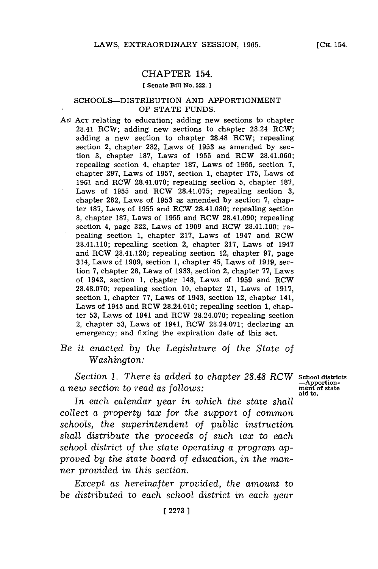## CHAPTER 154.

#### **[ Senate Bill No. 522. ]**

#### SCHOOLS-DISTRIBUTION **AND** APPORTIONMENT OF **STATE FUNDS.**

*AN* **ACT** relating to education; adding new sections to chapter 28.41 RCW; adding new sections to chapter 28.24 ROW; adding a new section to chapter **28.48** ROW; repealing section 2, chapter 282, Laws of **1953** as amended **by** section **3,** chapter **187,** Laws of **1955** and ROW 28.41.060; repealing section 4, chapter **187,** Laws of **1955,** section **7,** chapter **297,** Laws of **1957,** section **1,** chapter **175,** Laws of **1961** and ROW **28.41.070;** repealing section **5,** chapter **187,** Laws of **1955** and ROW **28.41.075;** repealing section **3,** chapter **282,** Laws of **1953** as amended **by** section **7,** chapter **187,** Laws of **1955** and ROW **28.41.080;** repealing section **8,** chapter **187,** Laws of **1955** and RCW 28.41.090; repealing section 4, page **322,** Laws of **1909** and ROW 28.41.100; repealing section **1,** chapter **217,** Laws of 1947 and ROW 28.41.110; repealing section 2, chapter **217,** Laws of 1947 and ROW 28.41.120; repealing section 12, chapter **97,** page 314, Laws of **1909,** section **1,** chapter 45, Laws of **1919,** section **7,** chapter **28,** Laws of **1933,** section 2, chapter **77,** Laws of 1943, section **1,** chapter 148, Laws of **1959** and ROW **28.48.070;** repealing section **10,** chapter 21, Laws of **1917,** section **1,** chapter **77,** Laws of 1943, section 12, chapter 141, Laws of 1945 and ROW 28.24.010; repealing section **1,** chapter **53,** Laws of 1941 and ROW **28.24.070;** repealing section 2, chapter **53,** Laws of 1941, ROW **28.24.071;** declaring an emergency: and fixing the expiration date of this act.

# *Be it enacted by the Legislature of the* State *of Washington:*

Section 1. There is added to chapter 28.48 RCW School districts<br> *ew* section to read as follows:  $\frac{1}{2}$  $a$  *new section to read as follows:* 

**adto.**

*In each calendar year in which the* state *shall collect a property tax for the support of common schools, the superintendent of public instruction shall distribute the proceeds of such tax to each school district of the state operating a program approved by the state board of education, in the manner provided in this section.*

*Except as hereinafter provided, the amount to be distributed to each school district in each year*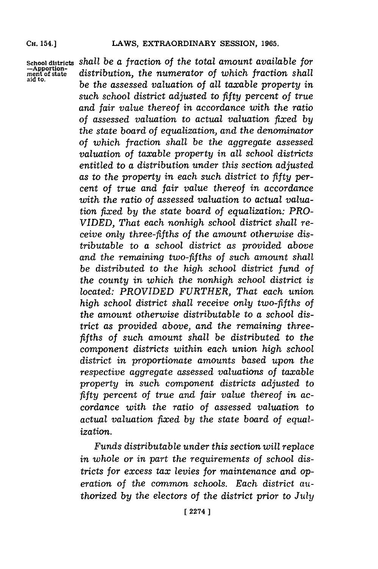**-Apportion-ment of state aid to.**

**School districts** *shall be a fraction of the total amount available for distribution, the numerator of which fraction shall be the assessed valuation of all taxable property in such school district adjusted to fifty percent of true and fair value thereof in accordance with the ratio of assessed valuation to actual valuation fixed by the state board of equalization, and the denominator of which fraction shall be the aggregate assessed valuation of taxable property in all school districts entitled to a distribution under this section adjusted as to the property in each such district to fifty percent of true and fair value thereof in accordance with the ratio of assessed valuation to actual valuation fixed by the state board of equalization: PRO-VIDED, That each nonhigh school district shall receive only three-fifths of the amount otherwise distributable to a school district as provided above and the remaining two-fifths of such amount shall be distributed to the high school district fund of the county in which the nonhigh school district is located: PROVIDED FURTHER, That each union high school district shall receive only two-fifths of the amount otherwise distributable to a school district as provided above, and the remaining threefifths of such amount shall be distributed to the component districts within each union high school district in proportionate amounts based upon the respective aggregate assessed valuations of taxable property in such component districts adjusted to fifty percent of true and fair value thereof in accordance with the ratio of assessed valuation to actual valuation fixed by the state board of equalization.*

> *Funds distributable under this section will replace in whole or in part the requirements of school districts for excess tax levies for maintenance and operation of the common schools. Each district authorized by the electors of the district prior to July*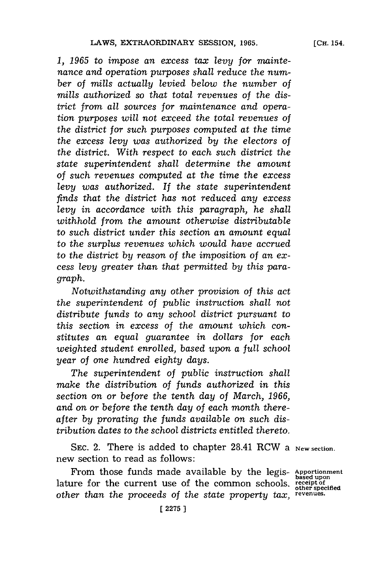*1, 1965 to impose an excess tax levy for maintenance and operation purposes shall reduce the number of mills actually levied below the number of mills authorized so that total revenues of the district from all sources for maintenance and operation purposes will not exceed the total revenues of the district for such purposes computed at the time the excess levy was authorized by the electors of the district. With respect to each such district the state superintendent shall determine the amount of such revenues computed at the time the excess levy was authorized. If the state superintendent finds that the district has not reduced any excess levy in accordance with this paragraph, he shall withhold from the amount otherwise distributable to such district under this section an amount equal to the surplus revenues which would have accrued to the district by reason of the imposition of an excess levy greater than that permitted by this para-*

*Notwithstanding any other provision of this act the superintendent of public instruction shall not distribute funds to any school district pursuant to this section in excess of the amount which constitutes an equal guarantee in dollars for each weighted student enrolled, based upon a full school year of one hundred eighty days.*

*graph.*

*The superintendent of public instruction shall make the distribution of funds authorized in this section on or before the tenth day of March, 1966, and on or before the tenth day of each month thereafter by prorating the funds available on such distribution dates to the school districts entitled thereto.*

SEC. 2. There is added to chapter 28.41 RCW a New section. new section to read as follows:

From those funds made available **by** the legis- **Apportionment** lature for the current use of the common schools. **receipt of** *other than the proceeds of the state property tax,* **revenues.**

**other specified**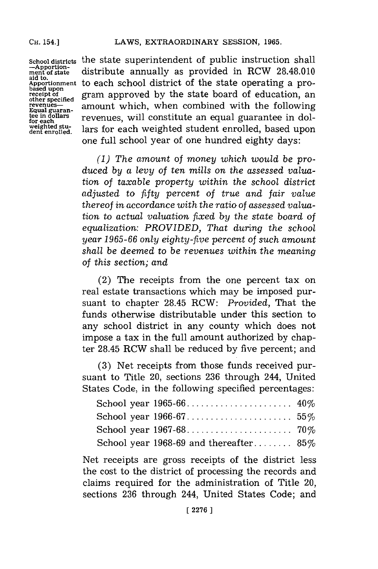### **CH. 54.]LAWS,** EXTRAORDINARY **SESSION, 1965.**

**CH.** 154.]

**-Apportion-ment of state aid to. Apportionment based upon receipt of other specified revenues-Equal guaran- tee in dollars for each weighted stu-dent enrolled.**

**School districts** the state superintendent of public instruction shall distribute annually as provided in RCW **28.48.010** to each school district of the state operating a program approved **by** the state board of education, an amount which, when combined with the following revenues, will constitute an equal guarantee in dollars for each weighted student enrolled, based upon one full school year of one hundred eighty days:

> *(1) The amount of money which would be produced by a levy of ten mills on the assessed valuation of taxable property within the school district adjusted to fifty percent of true and fair value thereof in accordance with the ratio of assessed valuation to actual valuation fixed by the state board of equalization: PROVIDED, That during the school year 1965-66 only eighty-five percent of such amount shall be deemed to be revenues within the meaning of this section; and*

> (2) The receipts from the one percent tax on real estate transactions which may be imposed pursuant to chapter 28.45 RCW: *Provided,* That the funds otherwise distributable under this section to any school district in any county which does not impose a tax in the full amount authorized **by** chapter 28.45 RCW shall be reduced **by** five percent; and

> (3) Net receipts from those funds received pursuant to Title 20, sections **236** through 244, United States Code, in the following specified percentages:

| School year 1968-69 and thereafter $85\%$ |  |
|-------------------------------------------|--|

Net receipts are gross receipts of the district less the cost to the district of processing the records and claims required for the administration of Title 20, sections **236** through 244, United States Code; and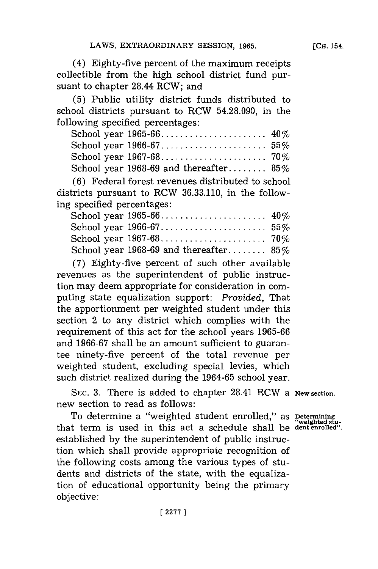(4) Eighty-five percent of the maximum receipts collectible from the high school district fund pursuant to chapter 28.44 RCW; and

**(5)** Public utility district funds distributed to school districts pursuant to RCW **54.28.090,** in the following specified percentages:

| School year 1968-69 and thereafter 85% |  |
|----------------------------------------|--|

**(6)** Federal forest revenues distributed to school districts pursuant to RCW **36.33.110,** in the following specified percentages:

| School year 1968-69 and thereafter $85\%$ |  |
|-------------------------------------------|--|

**(7)** Eighty-five percent of such other available revenues as the superintendent of public instruction may deem appropriate for consideration in computing state equalization support: *Provided,* That the apportionment per weighted student under this section 2 to any district which complies with the requirement of this act for the school years **1965-66** and **1966-67** shall be an amount sufficient to guarantee ninety-five percent of the total revenue per weighted student, excluding special levies, which such district realized during the **1964-65** school year.

**SEC. 3.** There is added to chapter 28.41 RCW a **New section.** new section to read as follows:

To determine a "weighted student enrolled," as **Determining** that term is used in this act a schedule shall be **dent enrolled".** established **by** the superintendent of public instruction which shall provide appropriate recognition of the following costs among the various types of students and districts of the state, with the equalization of educational opportunity being the primary objective: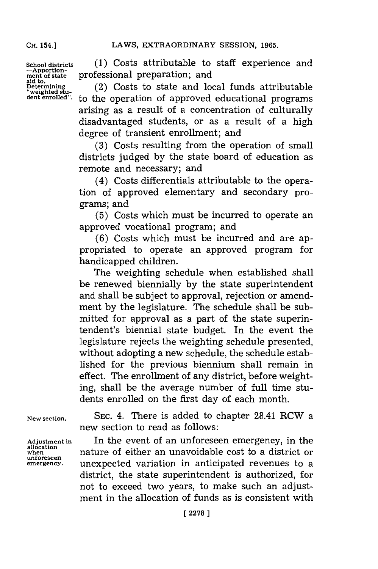**CH.** 154.]

**School districts -Apportionment of state aid to Determnining 'weighted stu-dent enrolled".**

**(1)** Costs attributable to staff experience and professional preparation; and

(2) Costs to state and local funds attributable to the operation of approved educational programs arising as a result of a concentration of culturally disadvantaged students, or as a result of a high degree of transient enrollment; and

**(3)** Costs resulting from the operation of small districts judged **by** the state board of education as remote and necessary; and

(4) Costs differentials attributable to the operation of approved elementary and secondary programs; and

**(5)** Costs which must be incurred to operate an approved vocational program; and

**(6)** Costs which must be incurred and are appropriated to operate an approved program for handicapped children.

The weighting schedule when established shall be renewed biennially **by** the state superintendent and shall be subject to approval, rejection or amendment **by** the legislature. The schedule shall be submitted for approval as a part of the state superintendent's biennial state budget. In the event the legislature rejects the weighting schedule presented, without adopting a new schedule, the schedule established for the previous biennium shall remain in effect. The enrollment of any district, before weighting, shall be the average number of full time students enrolled on the first day of each month.

**New section.**

**Adjustment in allocation when unforeseen emergency.**

**SEC.** 4. There is added to chapter 28.41 RCW a new section to read as follows:

In the event of an unforeseen emergency, in the nature of either an unavoidable cost to a district or unexpected variation in anticipated revenues to a district, the state superintendent is authorized, for not to exceed two years, to make such an adjustment in the allocation of funds as is consistent with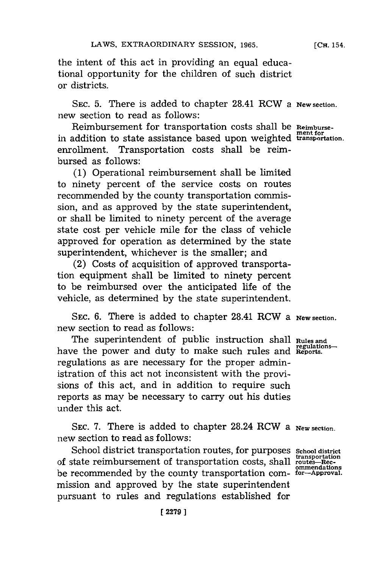the intent of this act in providing an equal educational opportunity for the children of such district or districts.

**SEC. 5.** There is added to chapter 28.41 RCW a **New section.** new section to read as follows:

Reimbursement for transportation costs shall be **Reimburse**in addition to state assistance based upon weighted **transportation.** enrollment. Transportation costs shall be reimbursed as follows:

**(1)** Operational reimbursement shall be limited to ninety percent of the service costs on routes recommended **by** the county transportation commission, and as approved **by** the state superintendent, or shall be limited to ninety percent of the average state cost per vehicle mile for the class of vehicle approved for operation as determined **by** the state superintendent, whichever is the smaller; and

(2) Costs of acquisition of approved transportation equipment shall be limited to ninety percent to be reimbursed over the anticipated life of the vehicle, as determined **by** the state superintendent.

**SEC. 6.** There is added to chapter 28.41 RCW a **New section.** new section to read as follows:

The superintendent of public instruction shall **Rules and** have the power and duty to make such rules and **Reports** regulations as are necessary for the proper administration of this act not inconsistent with the provisions of this act, and in addition to require such reports as may be necessary to carry out his duties under this act.

**SEC. 7.** There is added to chapter 28.24 RCW a **New section.** new section to read as follows:

School district transportation routes, for purposes school district of state reimbursement of transportation costs, shall **routes-Rec**be recommended **by** the county transportation com- **for-Approval.** mission and approved **by** the state superintendent pursuant to rules and regulations established for

**[ 2279]1**

**[CH.** 154.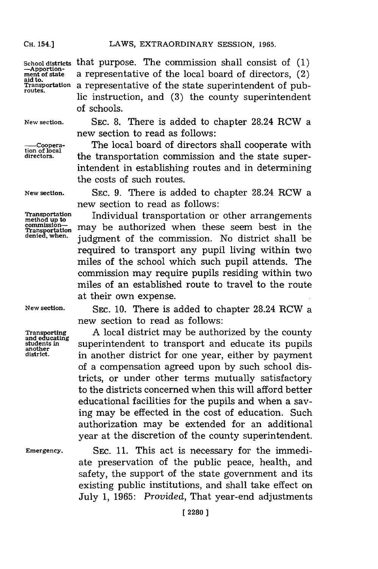**CH.** 154.]

School districts that purpose. The commission shall consist of (1)<br>  $\frac{-\text{Approx}(\text{a})}{-\text{approx}(\text{a})}$  a representative of the local board of directors. (2) a representative of the local board of directors,  $(2)$ aid to.<br>Transportation a representative of the state superintendent of pub-<br>routes. lic instruction, and **(3)** the county superintendent of schools.

**tion of local**

**New section.** SEC. **8.** There is added to chapter 28.24 RCW a new section to read as follows:

> The local board of directors shall cooperate with the transportation commission and the state superintendent in establishing routes and in determining the costs of such routes.

**another**

**New section. SEC. 9.** There is added to chapter 28.24 RCW a new section to read as follows:

**Transportation Individual transportation or other arrangements** method up to equinoments communities  $T_{\text{transportion}}^{\text{commission--}}$  may be authorized when these seem best in the denied when  $T_{\text{transportion}}$  and district shall be judgment of the commission. No district shall be required to transport any pupil living within two miles of the school which such pupil attends. The commission may require pupils residing within two miles of an established route to travel to the route at their own expense.

**New section. SEC. 10.** There is added to chapter 28.24 RCW a new section to read as follows:

**Transporting** A local district may be authorized by the county and educating students in superintendent to transport and educate its pupils **district,** in another district for one year, either **by** payment of a compensation agreed upon **by** such school districts, or under other terms mutually satisfactory to the districts concerned when this will afford better educational facilities for the pupils and when a saving may be effected in the cost of education. Such authorization may be extended for an additional year at the discretion of the county superintendent.

**Emergency.** SEC. **11.** This act is necessary for the immediate preservation of the public peace, health, and safety, the support of the state government and its existing public institutions, and shall take effect on July **1, 1965:** *Provided,* That year-end adjustments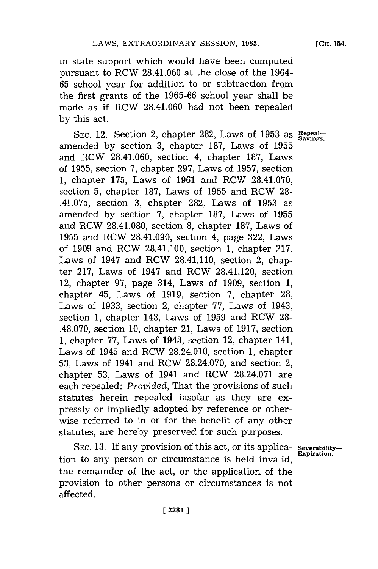**[CH.** 154.

in state support which would have been computed pursuant to RCW 28.41.060 at the close of the 1964- **65** school year for addition to or subtraction from the first grants of the **1965-66** school year shall be made as if RCW 28.41.060 had not been repealed **by** this act.

SEC. 12. Section 2, chapter 282, Laws of 1953 as Repealamended **by** section **3,** chapter **187,** Laws of **1955** and RCW 28.41.060, section 4, chapter **187,** Laws of **1955,** section **7,** chapter **297,** Laws of **1957,** section **1,** chapter **175,** Laws of **1961** and RCW **28.41.070,** section **5,** chapter **187,** Laws of **1955** and RCW 28- .41.075, section **3,** chapter **282,** Laws of **1953** as amended **by** section **7,** chapter **187,** Laws of **1955** and RCW **28.41.080,** section **8,** chapter **187,** Laws of **1955** and RCW 28.41.090, section 4, page **322,** Laws of **1909** and RCW 28.41.100, section **1,** chapter **217,** Laws of 1947 and RCW 28.41.110, section 2, chapter **217,** Laws of 1947 and RCW 28.41.120, section 12, chapter **97,** page 314, Laws of **1909,** section **1,** chapter 45, Laws of **1919,** section **7,** chapter **28,** Laws of **1933,** section 2, chapter **77,** Laws of 1943, section **1,** chapter 148, Laws of **1959** and RCW **28- .48.070,** section **10,** chapter 21, Laws of **1917,** section **1,** chapter **77,** Laws of 1943, section 12, chapter 141, Laws of 1945 and RCW 28.24.010, section **1,** chapter **53,** Laws of 1941 and RCW **28.24.070,** and section 2, chapter **53,** Laws of 1941 and RCW **28.24.071** are each repealed: *Provided,* That the provisions of such statutes herein repealed insofar as they are expressly or impliedly adopted **by** reference or otherwise referred to in or for the benefit of any other statutes, are hereby preserved for such purposes.

**SEC. 13. If** any provision of this act, or its applica- **Severability-** $\frac{1}{2}$  to  $\frac{1}{2}$  and  $\frac{1}{2}$  for the  $\frac{1}{2}$  cases of the  $\frac{1}{2}$  cases of  $\frac{1}{2}$   $\frac{1}{2}$   $\frac{1}{2}$   $\frac{1}{2}$   $\frac{1}{2}$   $\frac{1}{2}$   $\frac{1}{2}$   $\frac{1}{2}$   $\frac{1}{2}$   $\frac{1}{2}$   $\frac{1}{2}$   $\frac{1}{2}$   $\frac{1}{2}$   $\frac{$ the remainder of the act, or the application of the provision to other persons or circumstances is not affected.

**[ 22811**